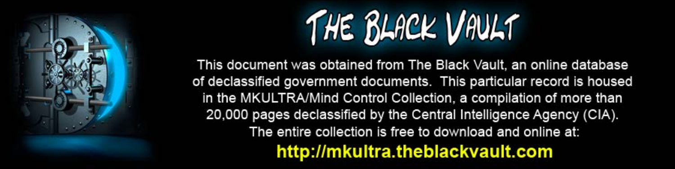

This document was obtained from The Black Vault, an online database of declassified government documents. This particular record is housed in the MKULTRA/Mind Control Collection, a compilation of more than 20,000 pages declassified by the Central Intelligence Agency (CIA). The entire collection is free to download and online at: http://mkultra.theblackvault.com